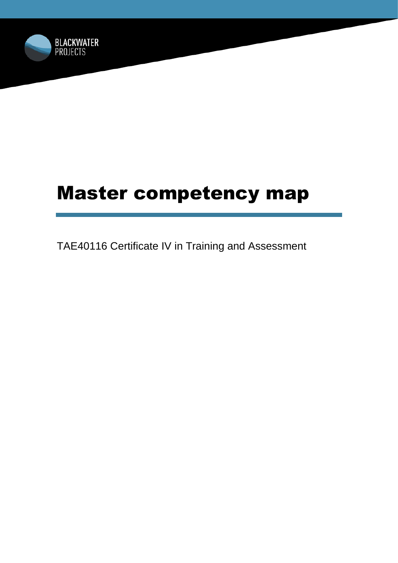

# Master competency map

TAE40116 Certificate IV in Training and Assessment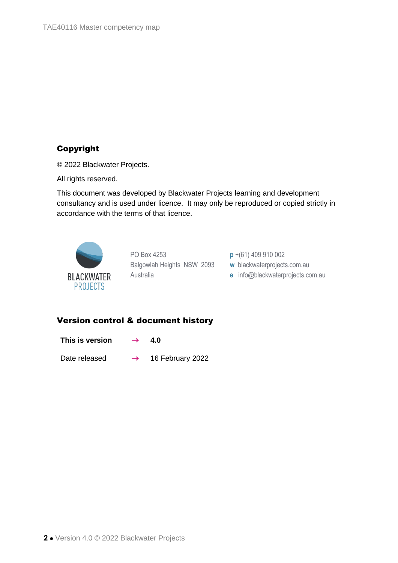# Copyright

© 2022 Blackwater Projects.

All rights reserved.

This document was developed by Blackwater Projects learning and development consultancy and is used under licence. It may only be reproduced or copied strictly in accordance with the terms of that licence.



PO Box 4253 Balgowlah Heights NSW 2093 Australia

**p** +(61) 409 910 002

**w** blackwaterprojects.com.au

**e** info@blackwaterprojects.com.au

### Version control & document history

This is version  $\rightarrow$  4.0

Date released  $\rightarrow$  16 February 2022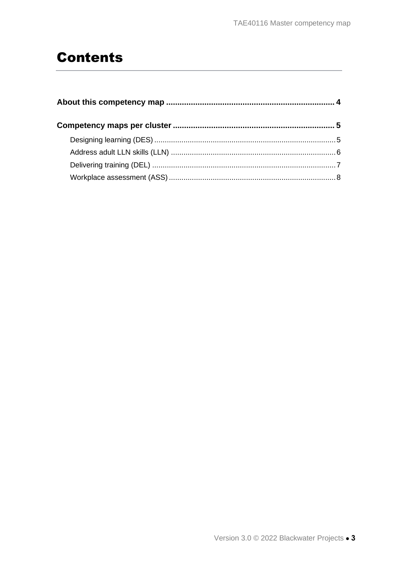# **Contents**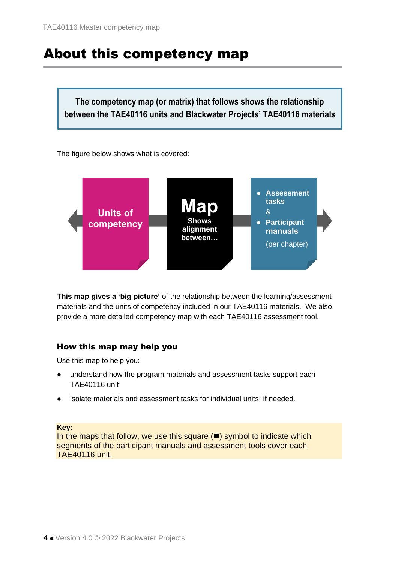# <span id="page-3-0"></span>About this competency map

**The competency map (or matrix) that follows shows the relationship between the TAE40116 units and Blackwater Projects' TAE40116 materials**

The figure below shows what is covered:



**This map gives a 'big picture'** of the relationship between the learning/assessment materials and the units of competency included in our TAE40116 materials. We also provide a more detailed competency map with each TAE40116 assessment tool.

### How this map may help you

Use this map to help you:

- understand how the program materials and assessment tasks support each TAE40116 unit
- isolate materials and assessment tasks for individual units, if needed.

**Key:**

In the maps that follow, we use this square  $(\blacksquare)$  symbol to indicate which segments of the participant manuals and assessment tools cover each TAE40116 unit.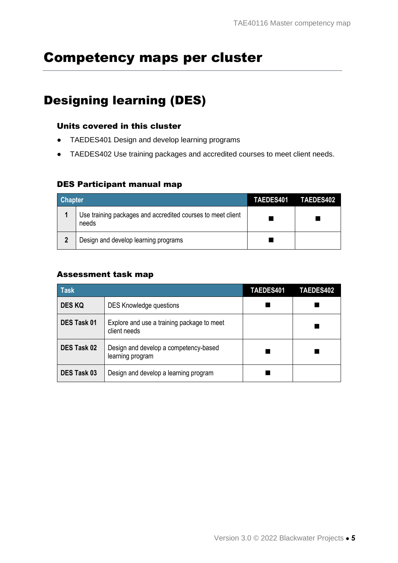# <span id="page-4-0"></span>Competency maps per cluster

# <span id="page-4-1"></span>Designing learning (DES)

#### Units covered in this cluster

- TAEDES401 Design and develop learning programs
- TAEDES402 Use training packages and accredited courses to meet client needs.

### DES Participant manual map

| <b>Chapter</b> |                                                                      | <b>TAEDES401</b> | TAEDES402 |
|----------------|----------------------------------------------------------------------|------------------|-----------|
|                | Use training packages and accredited courses to meet client<br>needs |                  |           |
| 2              | Design and develop learning programs                                 |                  |           |

#### Assessment task map

| <b>Task</b>        |                                                            | TAEDES401 | TAEDES402 |
|--------------------|------------------------------------------------------------|-----------|-----------|
| <b>DES KQ</b>      | <b>DES Knowledge questions</b>                             |           |           |
| <b>DES Task 01</b> | Explore and use a training package to meet<br>client needs |           |           |
| <b>DES Task 02</b> | Design and develop a competency-based<br>learning program  |           |           |
| DES Task 03        | Design and develop a learning program                      |           |           |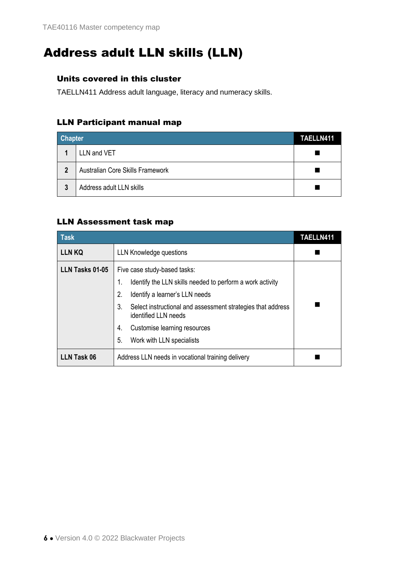# <span id="page-5-0"></span>Address adult LLN skills (LLN)

### Units covered in this cluster

TAELLN411 Address adult language, literacy and numeracy skills.

# LLN Participant manual map

| <b>Chapter</b> |                                  | TAELLN411 |
|----------------|----------------------------------|-----------|
|                | LLN and VET                      |           |
| $\overline{2}$ | Australian Core Skills Framework |           |
| 3              | Address adult LLN skills         |           |

## LLN Assessment task map

| <b>Task</b>        |                                                                                           | TAELLN411 |  |
|--------------------|-------------------------------------------------------------------------------------------|-----------|--|
| <b>LLN KQ</b>      | LLN Knowledge questions                                                                   |           |  |
| LLN Tasks 01-05    | Five case study-based tasks:                                                              |           |  |
|                    | Identify the LLN skills needed to perform a work activity<br>1.                           |           |  |
|                    | 2.<br>Identify a learner's LLN needs                                                      |           |  |
|                    | 3.<br>Select instructional and assessment strategies that address<br>identified LLN needs |           |  |
|                    | Customise learning resources<br>4.                                                        |           |  |
|                    | 5.<br>Work with LLN specialists                                                           |           |  |
| <b>LLN Task 06</b> | Address LLN needs in vocational training delivery                                         |           |  |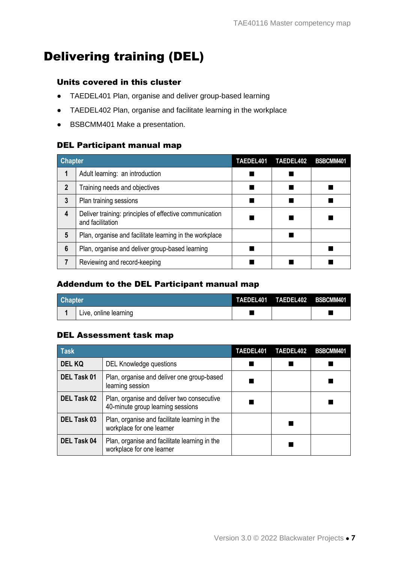# <span id="page-6-0"></span>Delivering training (DEL)

### Units covered in this cluster

- TAEDEL401 Plan, organise and deliver group-based learning
- TAEDEL402 Plan, organise and facilitate learning in the workplace
- BSBCMM401 Make a presentation.

#### DEL Participant manual map

| <b>Chapter</b> |                                                                             | TAEDEL401 | TAEDEL402 | BSBCMM401 |
|----------------|-----------------------------------------------------------------------------|-----------|-----------|-----------|
| 1              | Adult learning: an introduction                                             |           |           |           |
| $\mathbf{2}$   | Training needs and objectives                                               |           |           |           |
| 3              | Plan training sessions                                                      |           |           |           |
| 4              | Deliver training: principles of effective communication<br>and facilitation |           |           |           |
| 5              | Plan, organise and facilitate learning in the workplace                     |           |           |           |
| 6              | Plan, organise and deliver group-based learning                             |           |           |           |
|                | Reviewing and record-keeping                                                |           |           |           |

# Addendum to the DEL Participant manual map

| <b>Chapter</b> |                       | TAEDEL401 TAEDEL402 BSBCMM401 |  |
|----------------|-----------------------|-------------------------------|--|
|                | Live, online learning |                               |  |

### DEL Assessment task map

| <b>Task</b>        |                                                                                 | TAEDEL401 | TAEDEL402 | BSBCMM401 |
|--------------------|---------------------------------------------------------------------------------|-----------|-----------|-----------|
| <b>DEL KQ</b>      | DEL Knowledge questions                                                         |           |           |           |
| DEL Task 01        | Plan, organise and deliver one group-based<br>learning session                  |           |           |           |
| <b>DEL Task 02</b> | Plan, organise and deliver two consecutive<br>40-minute group learning sessions |           |           |           |
| <b>DEL Task 03</b> | Plan, organise and facilitate learning in the<br>workplace for one learner      |           |           |           |
| <b>DEL Task 04</b> | Plan, organise and facilitate learning in the<br>workplace for one learner      |           |           |           |